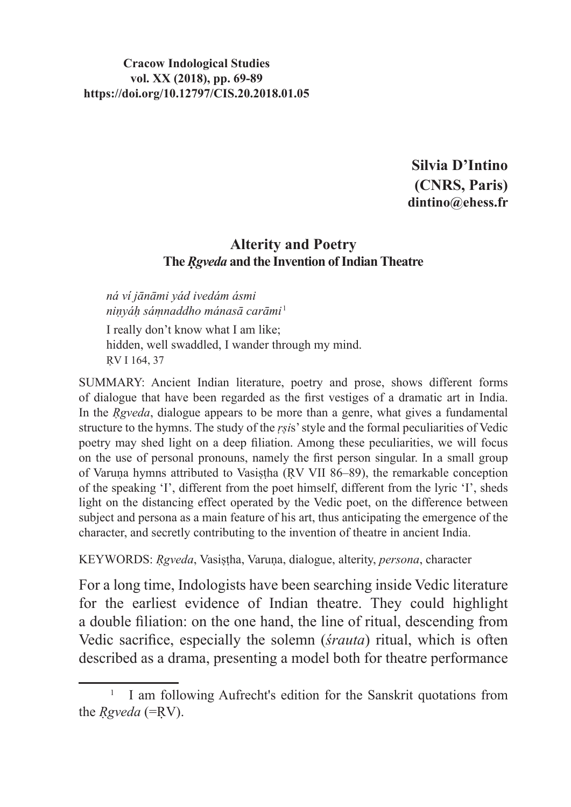**Silvia D'Intino (CNRS, Paris) dintino@ehess.fr**

#### **Alterity and Poetry The** *Rgveda* and the **Invention** of **Indian Theatre**

*ná ví jānāmi yád ivedám ásmi niṇyáḥ sáṃnaddho mánasā carāmi*<sup>1</sup>

I really don't know what I am like; hidden, well swaddled, I wander through my mind. ṚV I 164, 37

SUMMARY: Ancient Indian literature, poetry and prose, shows different forms of dialogue that have been regarded as the first vestiges of a dramatic art in India. In the *Reveda*, dialogue appears to be more than a genre, what gives a fundamental structure to the hymns. The study of the *ṛṣi*s' style and the formal peculiarities of Vedic poetry may shed light on a deep filiation. Among these peculiarities, we will focus on the use of personal pronouns, namely the first person singular. In a small group of Varuṇa hymns attributed to Vasiṣṭha (ṚV VII 86–89), the remarkable conception of the speaking 'I', different from the poet himself, different from the lyric 'I', sheds light on the distancing effect operated by the Vedic poet, on the difference between subject and persona as a main feature of his art, thus anticipating the emergence of the character, and secretly contributing to the invention of theatre in ancient India.

KEYWORDS: *Ṛgveda*, Vasiṣṭha, Varuṇa, dialogue, alterity, *persona*, character

For a long time, Indologists have been searching inside Vedic literature for the earliest evidence of Indian theatre. They could highlight a double filiation: on the one hand, the line of ritual, descending from Vedic sacrifice, especially the solemn (*śrauta*) ritual, which is often described as a drama, presenting a model both for theatre performance

<sup>&</sup>lt;sup>1</sup> I am following Aufrecht's edition for the Sanskrit quotations from the *Ṛgveda* (=ṚV).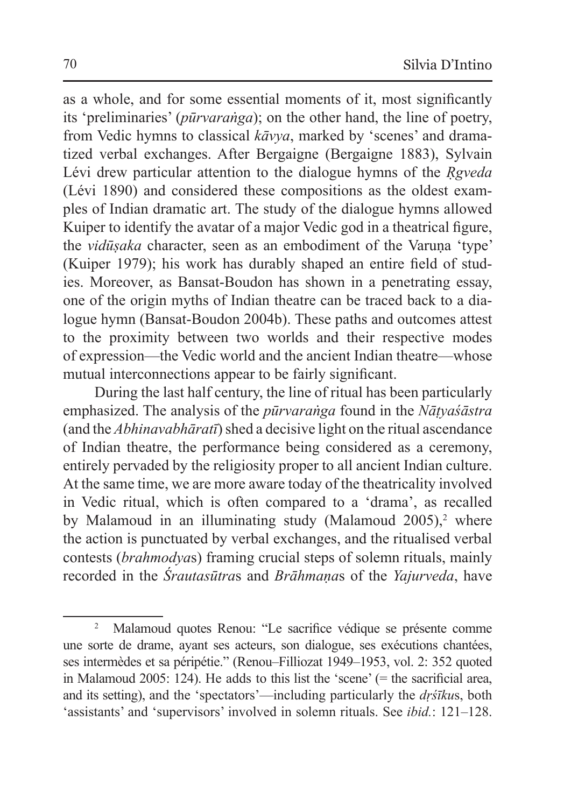as a whole, and for some essential moments of it, most significantly its 'preliminaries' (*pūrvaraṅga*); on the other hand, the line of poetry, from Vedic hymns to classical *kāvya*, marked by 'scenes' and dramatized verbal exchanges. After Bergaigne (Bergaigne 1883), Sylvain Lévi drew particular attention to the dialogue hymns of the *Ṛgveda* (Lévi 1890) and considered these compositions as the oldest examples of Indian dramatic art. The study of the dialogue hymns allowed Kuiper to identify the avatar of a major Vedic god in a theatrical figure, the *vidūṣaka* character, seen as an embodiment of the Varuṇa 'type' (Kuiper 1979); his work has durably shaped an entire field of studies. Moreover, as Bansat-Boudon has shown in a penetrating essay, one of the origin myths of Indian theatre can be traced back to a dialogue hymn (Bansat-Boudon 2004b). These paths and outcomes attest to the proximity between two worlds and their respective modes of expression—the Vedic world and the ancient Indian theatre—whose mutual interconnections appear to be fairly significant.

During the last half century, the line of ritual has been particularly emphasized. The analysis of the *pūrvaraṅga* found in the *Nāṭyaśāstra* (and the *Abhinavabhāratī*) shed a decisive light on the ritual ascendance of Indian theatre, the performance being considered as a ceremony, entirely pervaded by the religiosity proper to all ancient Indian culture. At the same time, we are more aware today of the theatricality involved in Vedic ritual, which is often compared to a 'drama', as recalled by Malamoud in an illuminating study (Malamoud 2005),<sup>2</sup> where the action is punctuated by verbal exchanges, and the ritualised verbal contests (*brahmodya*s) framing crucial steps of solemn rituals, mainly recorded in the *Śrautasūtra*s and *Brāhmaṇa*s of the *Yajurveda*, have

<sup>2</sup> Malamoud quotes Renou: "Le sacrifice védique se présente comme une sorte de drame, ayant ses acteurs, son dialogue, ses exécutions chantées, ses intermèdes et sa péripétie." (Renou–Filliozat 1949–1953, vol. 2: 352 quoted in Malamoud 2005: 124). He adds to this list the 'scene' (= the sacrificial area, and its setting), and the 'spectators'—including particularly the *dṛśīku*s, both 'assistants' and 'supervisors' involved in solemn rituals. See *ibid.*: 121–128.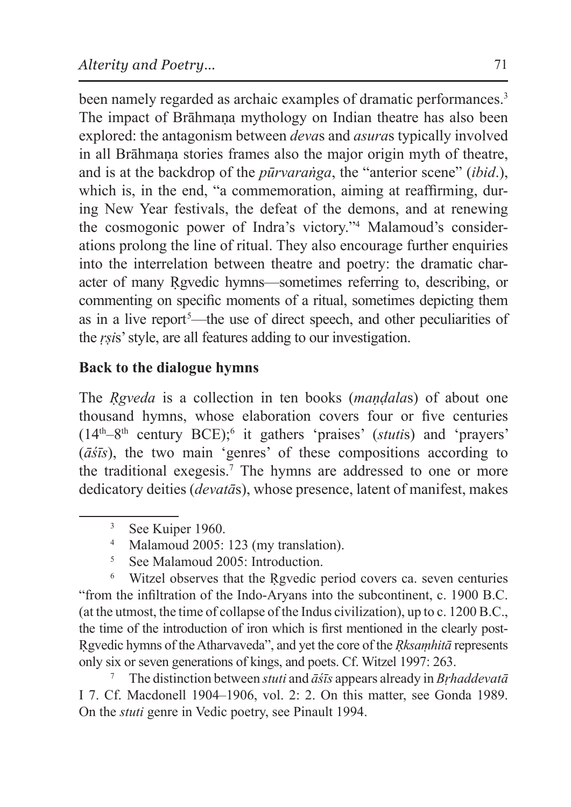been namely regarded as archaic examples of dramatic performances.<sup>3</sup> The impact of Brāhmana mythology on Indian theatre has also been explored: the antagonism between *deva*s and *asura*s typically involved in all Brāhmaṇa stories frames also the major origin myth of theatre, and is at the backdrop of the *pūrvaraṅga*, the "anterior scene" (*ibid*.), which is, in the end, "a commemoration, aiming at reaffirming, during New Year festivals, the defeat of the demons, and at renewing the cosmogonic power of Indra's victory."4 Malamoud's considerations prolong the line of ritual. They also encourage further enquiries into the interrelation between theatre and poetry: the dramatic character of many Ṛgvedic hymns—sometimes referring to, describing, or commenting on specific moments of a ritual, sometimes depicting them as in a live report<sup>5</sup>—the use of direct speech, and other peculiarities of the *ṛṣi*s' style, are all features adding to our investigation.

# **Back to the dialogue hymns**

The *Ṛgveda* is a collection in ten books (*maṇḍala*s) of about one thousand hymns, whose elaboration covers four or five centuries (14th–8th century BCE);<sup>6</sup> it gathers 'praises' (*stuti*s) and 'prayers' (*āśīs*), the two main 'genres' of these compositions according to the traditional exegesis.7 The hymns are addressed to one or more dedicatory deities (*devatā*s), whose presence, latent of manifest, makes

<sup>5</sup> See Malamoud 2005: Introduction.

<sup>6</sup> Witzel observes that the Ṛgvedic period covers ca. seven centuries "from the infiltration of the Indo-Aryans into the subcontinent, c. 1900 B.C. (at the utmost, the time of collapse of the Indus civilization), up to c. 1200 B.C., the time of the introduction of iron which is first mentioned in the clearly post-Ṛgvedic hymns of the Atharvaveda", and yet the core of the *Ṛksaṃhitā* represents only six or seven generations of kings, and poets. Cf. Witzel 1997: 263.

<sup>7</sup> The distinction between *stuti* and *āśīs* appears already in *Bṛhaddevatā* I 7. Cf. Macdonell 1904–1906, vol. 2: 2. On this matter, see Gonda 1989. On the *stuti* genre in Vedic poetry, see Pinault 1994.

<sup>&</sup>lt;sup>3</sup> See Kuiper 1960.

<sup>4</sup> Malamoud 2005: 123 (my translation).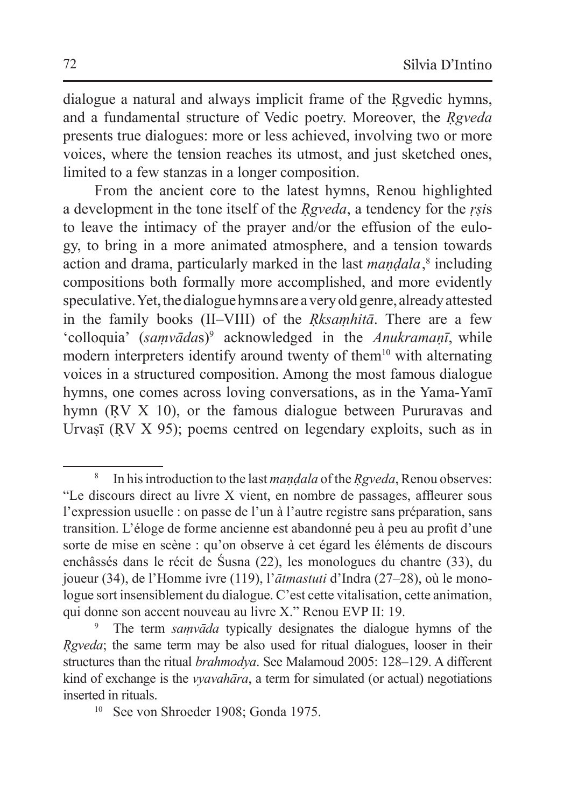dialogue a natural and always implicit frame of the Rgyedic hymns, and a fundamental structure of Vedic poetry. Moreover, the *Reveda* presents true dialogues: more or less achieved, involving two or more voices, where the tension reaches its utmost, and just sketched ones, limited to a few stanzas in a longer composition.

From the ancient core to the latest hymns, Renou highlighted a development in the tone itself of the *Ṛgveda*, a tendency for the *ṛṣi*s to leave the intimacy of the prayer and/or the effusion of the eulogy, to bring in a more animated atmosphere, and a tension towards action and drama, particularly marked in the last *maṇḍala*,<sup>8</sup> including compositions both formally more accomplished, and more evidently speculative. Yet, thedialogue hymns are avery old genre, already attested in the family books (II–VIII) of the *Ṛksaṃhitā*. There are a few 'colloquia' (*saṃvāda*s)<sup>9</sup> acknowledged in the *Anukramaṇī*, while modern interpreters identify around twenty of them<sup>10</sup> with alternating voices in a structured composition. Among the most famous dialogue hymns, one comes across loving conversations, as in the Yama-Yamī hymn (RV X 10), or the famous dialogue between Pururavas and Urvașī (RV X 95); poems centred on legendary exploits, such as in

<sup>8</sup> In his introduction to the last *maṇḍala* ofthe *Ṛgveda*, Renou observes: "Le discours direct au livre X vient, en nombre de passages, affleurer sous l'expression usuelle : on passe de l'un à l'autre registre sans préparation, sans transition. L'éloge de forme ancienne est abandonné peu à peu au profit d'une sorte de mise en scène : qu'on observe à cet égard les éléments de discours enchâssés dans le récit de Śusna (22), les monologues du chantre (33), du joueur (34), de l'Homme ivre (119), l'*ātmastuti* d'Indra (27–28), où le monologue sort insensiblement du dialogue. C'est cette vitalisation, cette animation, qui donne son accent nouveau au livre X." Renou EVP II: 19.

<sup>9</sup> The term *saṃvāda* typically designates the dialogue hymns of the *Ṛgveda*; the same term may be also used for ritual dialogues, looser in their structures than the ritual *brahmodya*. See Malamoud 2005: 128–129. A different kind of exchange is the *vyavahāra*, a term for simulated (or actual) negotiations inserted in rituals.<br><sup>10</sup> See von Shroeder 1908; Gonda 1975.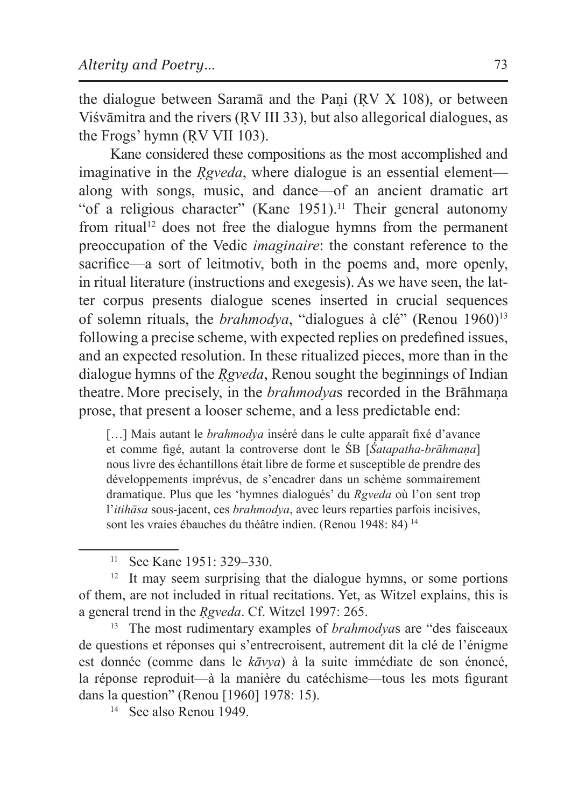the dialogue between Saramā and the Pani (RV X 108), or between Viśvāmitra and the rivers (ṚV III 33), but also allegorical dialogues, as the Frogs' hymn (ṚV VII 103).

Kane considered these compositions as the most accomplished and imaginative in the *Rgveda*, where dialogue is an essential element along with songs, music, and dance—of an ancient dramatic art "of a religious character" (Kane 1951). 11 Their general autonomy from ritual<sup>12</sup> does not free the dialogue hymns from the permanent preoccupation of the Vedic *imaginaire*: the constant reference to the sacrifice—a sort of leitmotiv, both in the poems and, more openly, in ritual literature (instructions and exegesis). As we have seen, the latter corpus presents dialogue scenes inserted in crucial sequences of solemn rituals, the *brahmodya*, "dialogues à clé" (Renou 1960)<sup>13</sup> following a precise scheme, with expected replies on predefined issues, and an expected resolution. In these ritualized pieces, more than in the dialogue hymns of the *Ṛgveda*, Renou sought the beginnings of Indian theatre. More precisely, in the *brahmodya*s recorded in the Brāhmaṇa prose, that present a looser scheme, and a less predictable end:

[...] Mais autant le *brahmodya* inséré dans le culte apparaît fixé d'avance et comme figé, autant la controverse dont le ŚB [*Śatapatha-brāhmaṇa*] nous livre des échantillons était libre de forme et susceptible de prendre des développements imprévus, de s'encadrer dans un schème sommairement dramatique. Plus que les 'hymnes dialogués' du *Rgveda* où l'on sent trop l'*itihāsa* sous-jacent, ces *brahmodya*, avec leurs reparties parfois incisives, sont les vraies ébauches du théâtre indien. (Renou 1948: 84)<sup>14</sup>

<sup>12</sup> It may seem surprising that the dialogue hymns, or some portions of them, are not included in ritual recitations. Yet, as Witzel explains, this is a general trend in the *Ṛgveda*. Cf. Witzel 1997: 265.

<sup>13</sup> The most rudimentary examples of *brahmodya*s are "des faisceaux de questions et réponses qui s'entrecroisent, autrement dit la clé de l'énigme est donnée (comme dans le *kāvya*) à la suite immédiate de son énoncé, la réponse reproduit—à la manière du catéchisme—tous les mots figurant dans la question" (Renou [1960] 1978: 15).

<sup>11</sup> See Kane 1951: 329–330.

<sup>14</sup> See also Renou 1949.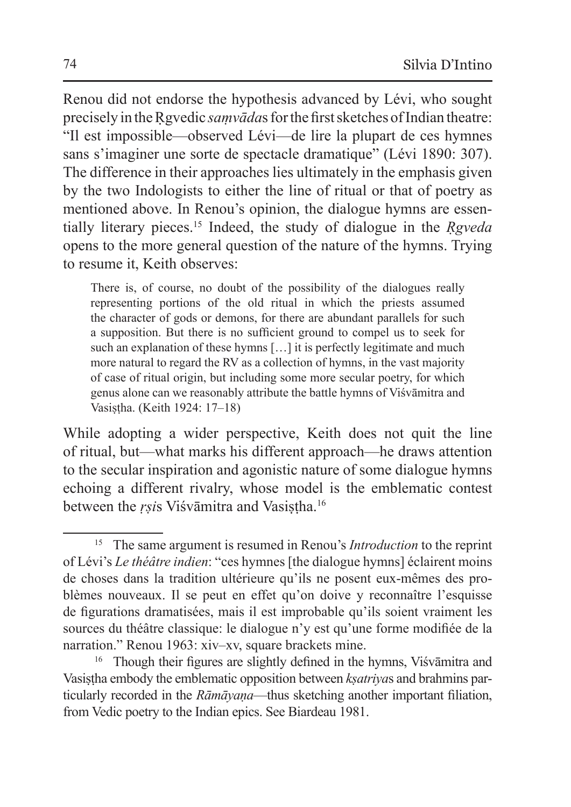Renou did not endorse the hypothesis advanced by Lévi, who sought precisely in the Rgyedic *samvādas* for the first sketches of Indian theatre: "Il est impossible—observed Lévi—de lire la plupart de ces hymnes sans s'imaginer une sorte de spectacle dramatique" (Lévi 1890: 307). The difference in their approaches lies ultimately in the emphasis given by the two Indologists to either the line of ritual or that of poetry as mentioned above. In Renou's opinion, the dialogue hymns are essentially literary pieces.15 Indeed, the study of dialogue in the *Ṛgveda* opens to the more general question of the nature of the hymns. Trying to resume it, Keith observes:

There is, of course, no doubt of the possibility of the dialogues really representing portions of the old ritual in which the priests assumed the character of gods or demons, for there are abundant parallels for such a supposition. But there is no sufficient ground to compel us to seek for such an explanation of these hymns [...] it is perfectly legitimate and much more natural to regard the RV as a collection of hymns, in the vast majority of case of ritual origin, but including some more secular poetry, for which genus alone can we reasonably attribute the battle hymns of Viśvāmitra and Vasiṣṭha. (Keith 1924: 17–18)

While adopting a wider perspective, Keith does not quit the line of ritual, but—what marks his different approach—he draws attention to the secular inspiration and agonistic nature of some dialogue hymns echoing a different rivalry, whose model is the emblematic contest between the *rsis* Viśvāmitra and Vasistha.<sup>16</sup>

<sup>15</sup> The same argument is resumed in Renou's *Introduction* to the reprint of Lévi's *Le théâtre indien*: "ces hymnes [the dialogue hymns] éclairent moins de choses dans la tradition ultérieure qu'ils ne posent eux-mêmes des problèmes nouveaux. Il se peut en effet qu'on doive y reconnaître l'esquisse de figurations dramatisées, mais il est improbable qu'ils soient vraiment les sources du théâtre classique: le dialogue n'y est qu'une forme modifiée de la narration." Renou 1963: xiv–xv, square brackets mine.

<sup>&</sup>lt;sup>16</sup> Though their figures are slightly defined in the hymns, Viśvāmitra and Vasiṣṭha embody the emblematic opposition between *kṣatriya*s and brahmins particularly recorded in the *Rāmāyaṇa*—thus sketching another important filiation, from Vedic poetry to the Indian epics. See Biardeau 1981.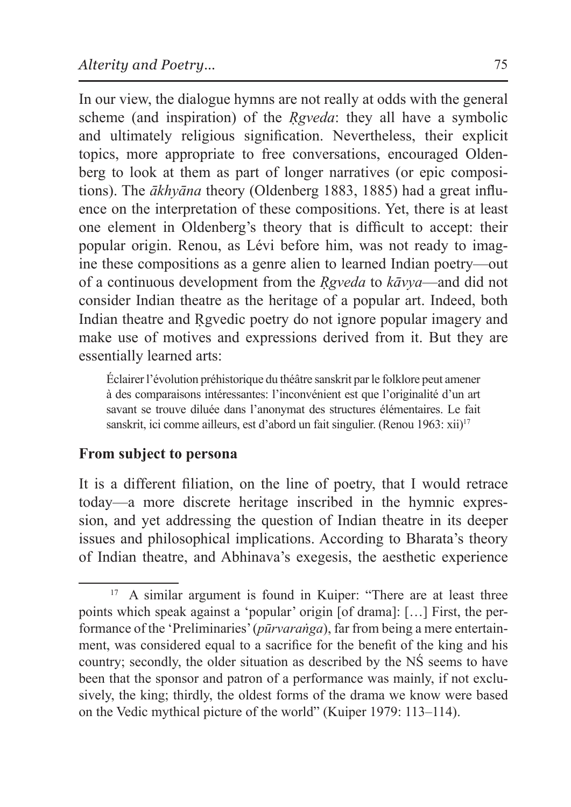In our view, the dialogue hymns are not really at odds with the general scheme (and inspiration) of the *Reveda*: they all have a symbolic and ultimately religious signification. Nevertheless, their explicit topics, more appropriate to free conversations, encouraged Oldenberg to look at them as part of longer narratives (or epic compositions). The *ākhyāna* theory (Oldenberg 1883, 1885) had a great influence on the interpretation of these compositions. Yet, there is at least one element in Oldenberg's theory that is difficult to accept: their popular origin. Renou, as Lévi before him, was not ready to imagine these compositions as a genre alien to learned Indian poetry—out of a continuous development from the *Ṛgveda* to *kāvya*—and did not consider Indian theatre as the heritage of a popular art. Indeed, both Indian theatre and Rgvedic poetry do not ignore popular imagery and make use of motives and expressions derived from it. But they are essentially learned arts:

Éclairer l'évolution préhistorique du théâtre sanskrit par le folklore peut amener à des comparaisons intéressantes: l'inconvénient est que l'originalité d'un art savant se trouve diluée dans l'anonymat des structures élémentaires. Le fait sanskrit, ici comme ailleurs, est d'abord un fait singulier. (Renou 1963: xii)<sup>17</sup>

### **From subject to persona**

It is a different filiation, on the line of poetry, that I would retrace today—a more discrete heritage inscribed in the hymnic expression, and yet addressing the question of Indian theatre in its deeper issues and philosophical implications. According to Bharata's theory of Indian theatre, and Abhinava's exegesis, the aesthetic experience

<sup>&</sup>lt;sup>17</sup> A similar argument is found in Kuiper: "There are at least three points which speak against a 'popular' origin [of drama]: […] First, the performance of the 'Preliminaries' (*pūrvaraṅga*), far from being a mere entertainment, was considered equal to a sacrifice for the benefit of the king and his country; secondly, the older situation as described by the NŚ seems to have been that the sponsor and patron of a performance was mainly, if not exclusively, the king; thirdly, the oldest forms of the drama we know were based on the Vedic mythical picture of the world" (Kuiper 1979: 113–114).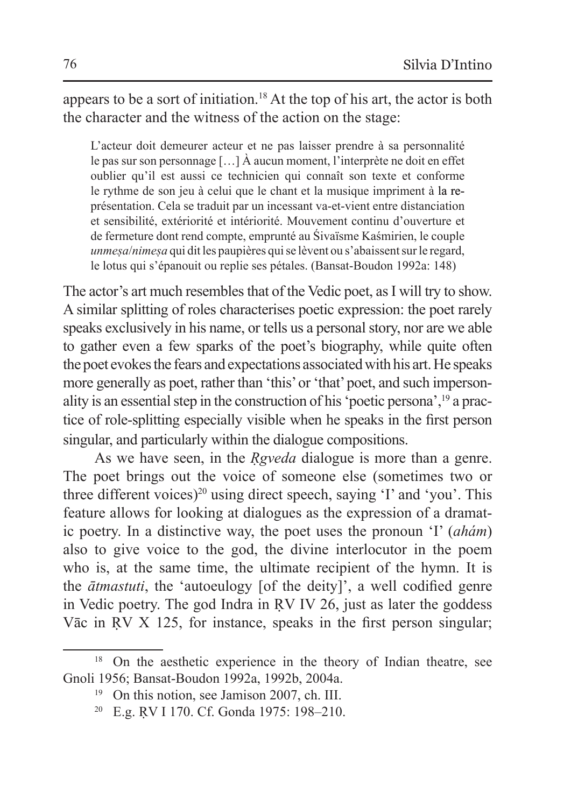appears to be a sort of initiation.18 At the top of his art, the actor is both the character and the witness of the action on the stage:

L'acteur doit demeurer acteur et ne pas laisser prendre à sa personnalité le pas sur son personnage […] À aucun moment, l'interprète ne doit en effet oublier qu'il est aussi ce technicien qui connaît son texte et conforme le rythme de son jeu à celui que le chant et la musique impriment à la représentation. Cela se traduit par un incessant va-et-vient entre distanciation et sensibilité, extériorité et intériorité. Mouvement continu d'ouverture et de fermeture dont rend compte, emprunté au Śivaïsme Kaśmirien, le couple *unmeṣa*/*nimeṣa* qui dit les paupières qui se lèvent ou s'abaissent sur le regard, le lotus qui s'épanouit ou replie ses pétales. (Bansat-Boudon 1992a: 148)

The actor's art much resembles that of the Vedic poet, as I will try to show. A similar splitting of roles characterises poetic expression: the poet rarely speaks exclusively in his name, or tells us a personal story, nor are we able to gather even a few sparks of the poet's biography, while quite often the poet evokes the fears and expectations associated with his art. He speaks more generally as poet, rather than 'this' or 'that' poet, and such impersonality is an essential step in the construction of his 'poetic persona',19 a practice of role-splitting especially visible when he speaks in the first person singular, and particularly within the dialogue compositions.

As we have seen, in the *Rgveda* dialogue is more than a genre. The poet brings out the voice of someone else (sometimes two or three different voices)<sup>20</sup> using direct speech, saying 'I' and 'you'. This feature allows for looking at dialogues as the expression of a dramatic poetry. In a distinctive way, the poet uses the pronoun 'I' (*ahám*) also to give voice to the god, the divine interlocutor in the poem who is, at the same time, the ultimate recipient of the hymn. It is the *ātmastuti*, the 'autoeulogy [of the deity]', a well codified genre in Vedic poetry. The god Indra in ṚV IV 26, just as later the goddess Vāc in RV X 125, for instance, speaks in the first person singular;

<sup>&</sup>lt;sup>18</sup> On the aesthetic experience in the theory of Indian theatre, see Gnoli 1956; Bansat-Boudon 1992a, 1992b, 2004a.

<sup>&</sup>lt;sup>19</sup> On this notion, see Jamison 2007, ch. III.

<sup>20</sup> E.g. ṚV I 170. Cf. Gonda 1975: 198–210.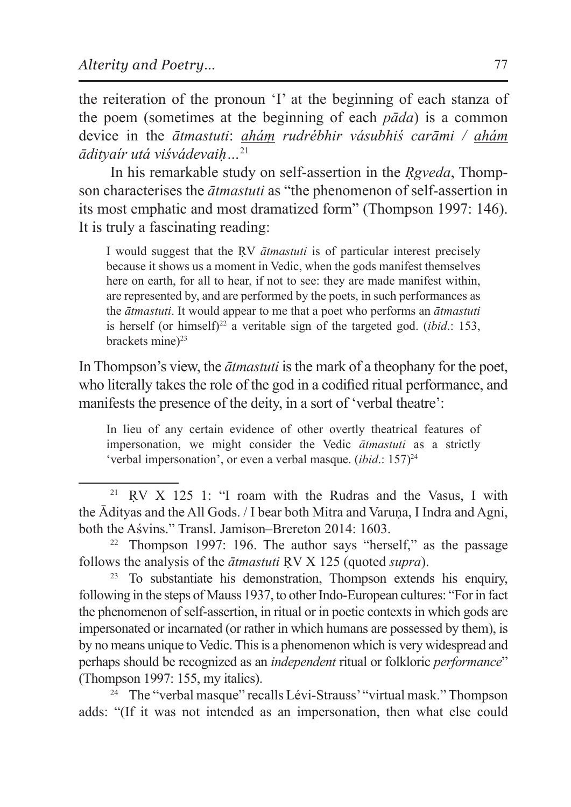the reiteration of the pronoun 'I' at the beginning of each stanza of the poem (sometimes at the beginning of each *pāda*) is a common device in the *ātmastuti*: *aháṃ rudrébhir vásubhiś carāmi / ahám ādityaír utá viśvádevaiḥ…*<sup>21</sup>

In his remarkable study on self-assertion in the *Rgveda*, Thompson characterises the *ātmastuti* as "the phenomenon of self-assertion in its most emphatic and most dramatized form" (Thompson 1997: 146). It is truly a fascinating reading:

I would suggest that the ṚV *ātmastuti* is of particular interest precisely because it shows us a moment in Vedic, when the gods manifest themselves here on earth, for all to hear, if not to see: they are made manifest within, are represented by, and are performed by the poets, in such performances as the *ātmastuti*. It would appear to me that a poet who performs an *ātmastuti* is herself (or himself)<sup>22</sup> a veritable sign of the targeted god. *(ibid.*: 153, brackets mine $)^{23}$ 

In Thompson's view, the *ātmastuti* is the mark of a theophany for the poet, who literally takes the role of the god in a codified ritual performance, and manifests the presence of the deity, in a sort of 'verbal theatre':

In lieu of any certain evidence of other overtly theatrical features of impersonation, we might consider the Vedic *ātmastuti* as a strictly 'verbal impersonation', or even a verbal masque.  $(ibid.: 157)^{24}$ 

<sup>24</sup> The "verbal masque" recalls Lévi-Strauss' "virtual mask." Thompson adds: "(If it was not intended as an impersonation, then what else could

 $21$  RV X 125 1: "I roam with the Rudras and the Vasus, I with the Ādityas and the All Gods. / I bear both Mitra and Varuna, I Indra and Agni, both the Aśvins." Transl. Jamison–Brereton 2014: 1603.

<sup>22</sup> Thompson 1997: 196. The author says "herself," as the passage follows the analysis of the *ātmastuti* ṚV X 125 (quoted *supra*).

<sup>23</sup> To substantiate his demonstration, Thompson extends his enquiry, following in the steps of Mauss 1937, to other Indo-European cultures: "For in fact the phenomenon of self-assertion, in ritual or in poetic contexts in which gods are impersonated or incarnated (or rather in which humans are possessed by them), is by no means unique to Vedic. This is a phenomenon which is very widespread and perhaps should be recognized as an *independent* ritual or folkloric *performance*" (Thompson 1997: 155, my italics).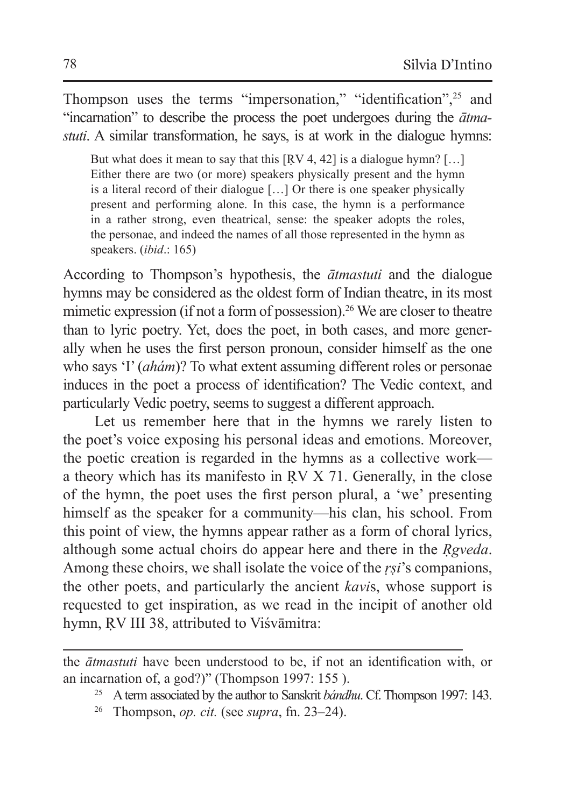Thompson uses the terms "impersonation," "identification",<sup>25</sup> and "incarnation" to describe the process the poet undergoes during the *ātmastuti*. A similar transformation, he says, is at work in the dialogue hymns:

But what does it mean to say that this  $[RV 4, 42]$  is a dialogue hymn?  $[...]$ Either there are two (or more) speakers physically present and the hymn is a literal record of their dialogue […] Or there is one speaker physically present and performing alone. In this case, the hymn is a performance in a rather strong, even theatrical, sense: the speaker adopts the roles, the personae, and indeed the names of all those represented in the hymn as speakers. (*ibid*.: 165)

According to Thompson's hypothesis, the *ātmastuti* and the dialogue hymns may be considered as the oldest form of Indian theatre, in its most mimetic expression (if not a form of possession).<sup>26</sup> We are closer to theatre than to lyric poetry. Yet, does the poet, in both cases, and more generally when he uses the first person pronoun, consider himself as the one who says 'I' (*ahám*)? To what extent assuming different roles or personae induces in the poet a process of identification? The Vedic context, and particularly Vedic poetry, seems to suggest a different approach.

Let us remember here that in the hymns we rarely listen to the poet's voice exposing his personal ideas and emotions. Moreover, the poetic creation is regarded in the hymns as a collective work a theory which has its manifesto in ṚV X 71. Generally, in the close of the hymn, the poet uses the first person plural, a 'we' presenting himself as the speaker for a community—his clan, his school. From this point of view, the hymns appear rather as a form of choral lyrics, although some actual choirs do appear here and there in the *Ṛgveda*. Among these choirs, we shall isolate the voice of the *ṛṣi*'s companions, the other poets, and particularly the ancient *kavi*s, whose support is requested to get inspiration, as we read in the incipit of another old hymn, RV III 38, attributed to Viśvāmitra:

the *ātmastuti* have been understood to be, if not an identification with, or an incarnation of, a god?)" (Thompson 1997: 155 ).

<sup>25</sup> Aterm associated by the author to Sanskrit *bándhu*. Cf. Thompson 1997: 143.

<sup>26</sup> Thompson, *op. cit.* (see *supra*, fn. 23–24).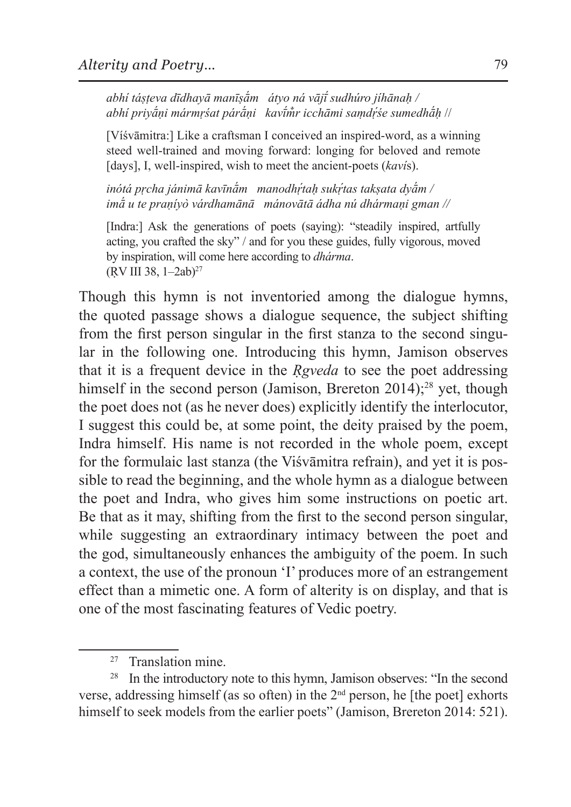*abhí táṣṭeva dīdhayā manīṣā́m átyo ná vājī́ sudhúro jíhānaḥ / abhí priyā́ṇi mármṛśat párā́ṇi kavī́m̐r icchāmi saṃdṛ́ śe sumedhā́ḥ* //

[Víśvāmitra:] Like a craftsman I conceived an inspired-word, as a winning steed well-trained and moving forward: longing for beloved and remote [days], I, well-inspired, wish to meet the ancient-poets (*kaví*s).

*inótá pṛcha jánimā kavīnā́m manodhṛ́ taḥ sukṛ́ tas takṣata dyā́m / imā́ u te praṇíyò várdhamānā mánovātā ádha nú dhármaṇi gman //*

[Indra:] Ask the generations of poets (saying): "steadily inspired, artfully acting, you crafted the sky" / and for you these guides, fully vigorous, moved by inspiration, will come here according to *dhárma*. (ṚV III 38, 1–2ab)<sup>27</sup>

Though this hymn is not inventoried among the dialogue hymns, the quoted passage shows a dialogue sequence, the subject shifting from the first person singular in the first stanza to the second singular in the following one. Introducing this hymn, Jamison observes that it is a frequent device in the *Ṛgveda* to see the poet addressing himself in the second person (Jamison, Brereton  $2014$ );<sup>28</sup> yet, though the poet does not (as he never does) explicitly identify the interlocutor, I suggest this could be, at some point, the deity praised by the poem, Indra himself. His name is not recorded in the whole poem, except for the formulaic last stanza (the Viśvāmitra refrain), and yet it is possible to read the beginning, and the whole hymn as a dialogue between the poet and Indra, who gives him some instructions on poetic art. Be that as it may, shifting from the first to the second person singular, while suggesting an extraordinary intimacy between the poet and the god, simultaneously enhances the ambiguity of the poem. In such a context, the use of the pronoun 'I' produces more of an estrangement effect than a mimetic one. A form of alterity is on display, and that is one of the most fascinating features of Vedic poetry.

<sup>27</sup> Translation mine.

<sup>&</sup>lt;sup>28</sup> In the introductory note to this hymn, Jamison observes: "In the second verse, addressing himself (as so often) in the  $2<sup>nd</sup>$  person, he [the poet] exhorts himself to seek models from the earlier poets" (Jamison, Brereton 2014: 521).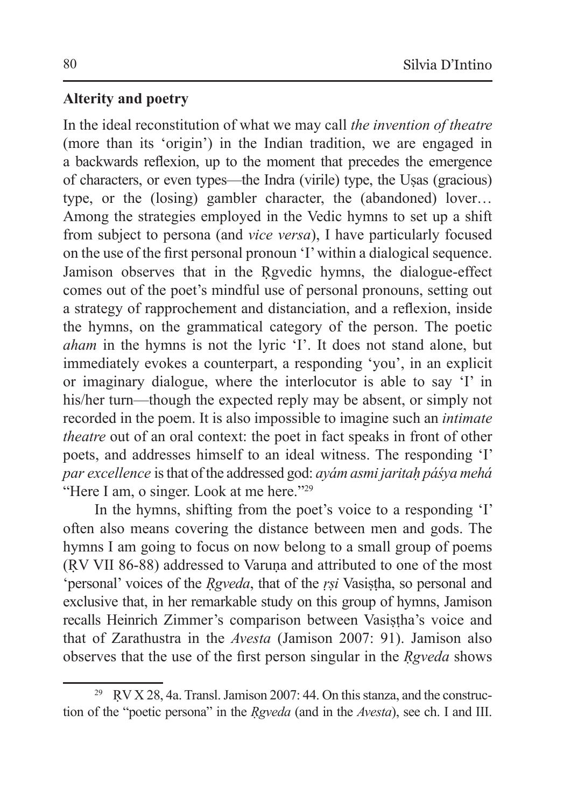# **Alterity and poetry**

In the ideal reconstitution of what we may call *the invention of theatre* (more than its 'origin') in the Indian tradition, we are engaged in a backwards reflexion, up to the moment that precedes the emergence of characters, or even types—the Indra (virile) type, the Uṣas (gracious) type, or the (losing) gambler character, the (abandoned) lover… Among the strategies employed in the Vedic hymns to set up a shift from subject to persona (and *vice versa*), I have particularly focused on the use of the first personal pronoun 'I' within a dialogical sequence. Jamison observes that in the Ṛgvedic hymns, the dialogue-effect comes out of the poet's mindful use of personal pronouns, setting out a strategy of rapprochement and distanciation, and a reflexion, inside the hymns, on the grammatical category of the person. The poetic *aham* in the hymns is not the lyric 'I'. It does not stand alone, but immediately evokes a counterpart, a responding 'you', in an explicit or imaginary dialogue, where the interlocutor is able to say 'I' in his/her turn—though the expected reply may be absent, or simply not recorded in the poem. It is also impossible to imagine such an *intimate theatre* out of an oral context: the poet in fact speaks in front of other poets, and addresses himself to an ideal witness. The responding 'I' *par excellence* is that of the addressed god: *ayám asmi jaritaḥ páśya mehá* "Here I am, o singer. Look at me here."<sup>29</sup>

In the hymns, shifting from the poet's voice to a responding 'I' often also means covering the distance between men and gods. The hymns I am going to focus on now belong to a small group of poems (ṚV VII 86-88) addressed to Varuṇa and attributed to one of the most 'personal' voices of the *Ṛgveda*, that of the *ṛṣi* Vasiṣṭha, so personal and exclusive that, in her remarkable study on this group of hymns, Jamison recalls Heinrich Zimmer's comparison between Vasistha's voice and that of Zarathustra in the *Avesta* (Jamison 2007: 91). Jamison also observes that the use of the first person singular in the *Ṛgveda* shows

<sup>&</sup>lt;sup>29</sup> RV X 28, 4a. Transl. Jamison 2007: 44. On this stanza, and the construction of the "poetic persona" in the *Ṛgveda* (and in the *Avesta*), see ch. I and III.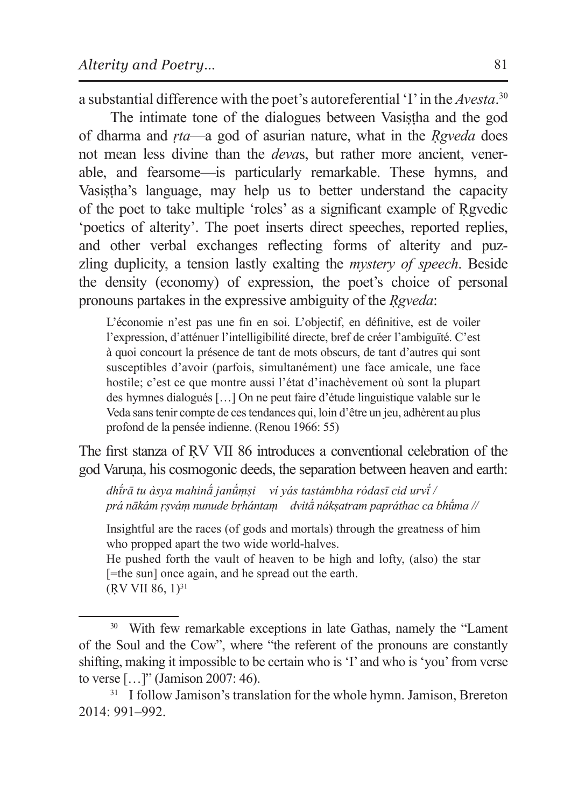a substantial difference with the poet's autoreferential 'I' in the *Avesta*. 30

The intimate tone of the dialogues between Vasistha and the god of dharma and *ṛta*—a god of asurian nature, what in the *Ṛgveda* does not mean less divine than the *deva*s, but rather more ancient, venerable, and fearsome—is particularly remarkable. These hymns, and Vasistha's language, may help us to better understand the capacity of the poet to take multiple 'roles' as a significant example of Ṛgvedic 'poetics of alterity'. The poet inserts direct speeches, reported replies, and other verbal exchanges reflecting forms of alterity and puzzling duplicity, a tension lastly exalting the *mystery of speech*. Beside the density (economy) of expression, the poet's choice of personal pronouns partakes in the expressive ambiguity of the *Ṛgveda*:

L'économie n'est pas une fin en soi. L'objectif, en définitive, est de voiler l'expression, d'atténuer l'intelligibilité directe, bref de créer l'ambiguïté. C'est à quoi concourt la présence de tant de mots obscurs, de tant d'autres qui sont susceptibles d'avoir (parfois, simultanément) une face amicale, une face hostile; c'est ce que montre aussi l'état d'inachèvement où sont la plupart des hymnes dialogués […] On ne peut faire d'étude linguistique valable sur le Veda sans tenir compte de ces tendances qui, loin d'être un jeu, adhèrent au plus profond de la pensée indienne. (Renou 1966: 55)

The first stanza of RV VII 86 introduces a conventional celebration of the god Varuṇa, his cosmogonic deeds, the separation between heaven and earth:

*dhī́ rā tu àsya mahinā́ janū́ṃṣi ví yás tastámbha ródasī cid urvī́ / prá nākám ṛṣváṃ nunude bṛhántaṃ dvitā́ nákṣatram papráthac ca bhū́ma //* 

Insightful are the races (of gods and mortals) through the greatness of him who propped apart the two wide world-halves.

He pushed forth the vault of heaven to be high and lofty, (also) the star [=the sun] once again, and he spread out the earth.

 $(RV VII 86, 1)^{31}$ 

<sup>&</sup>lt;sup>30</sup> With few remarkable exceptions in late Gathas, namely the "Lament" of the Soul and the Cow", where "the referent of the pronouns are constantly shifting, making it impossible to be certain who is 'I' and who is 'you' from verse to verse […]" (Jamison 2007: 46).

<sup>&</sup>lt;sup>31</sup> I follow Jamison's translation for the whole hymn. Jamison, Brereton 2014: 991–992.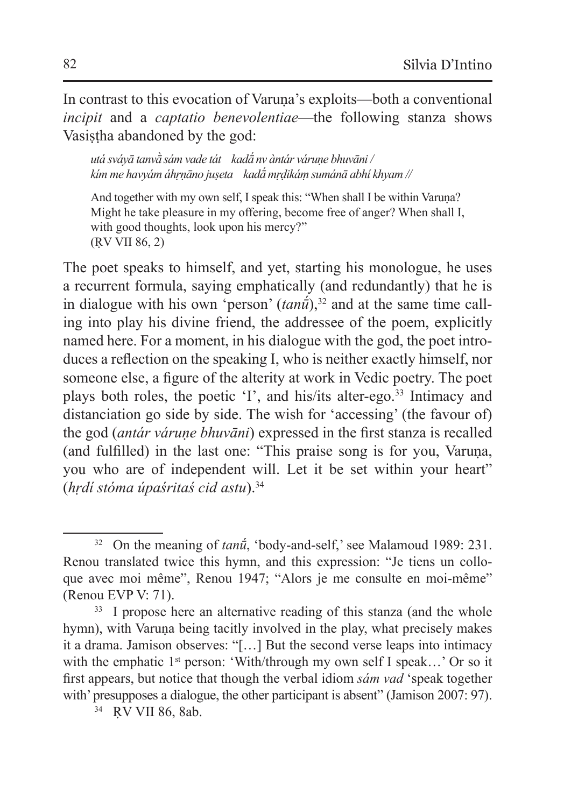In contrast to this evocation of Varuna's exploits—both a conventional *incipit* and a *captatio benevolentiae*—the following stanza shows Vasistha abandoned by the god:

*utá sváyā tanvā̀ sám vade tát kadā́ nv àntár váruṇe bhuvāni / kím me havyám áhṛṇāno juṣeta kadā́ mṛḍikáṃ sumánā abhí khyam //* 

And together with my own self, I speak this: "When shall I be within Varuna? Might he take pleasure in my offering, become free of anger? When shall I, with good thoughts, look upon his mercy?" (ṚV VII 86, 2)

The poet speaks to himself, and yet, starting his monologue, he uses a recurrent formula, saying emphatically (and redundantly) that he is in dialogue with his own 'person'  $(tan\tilde{u})$ <sup>32</sup> and at the same time calling into play his divine friend, the addressee of the poem, explicitly named here. For a moment, in his dialogue with the god, the poet introduces a reflection on the speaking I, who is neither exactly himself, nor someone else, a figure of the alterity at work in Vedic poetry. The poet plays both roles, the poetic 'I', and his/its alter-ego.33 Intimacy and distanciation go side by side. The wish for 'accessing' (the favour of) the god (*antár váruṇe bhuvāni*) expressed in the first stanza is recalled (and fulfilled) in the last one: "This praise song is for you, Varuna, you who are of independent will. Let it be set within your heart" (*hṛdí stóma úpaśritaś cid astu*).<sup>34</sup>

<sup>34</sup> RV VII 86, 8ab.

<sup>&</sup>lt;sup>32</sup> On the meaning of *tanu*<sup> $\tilde{u}$ </sup>, 'body-and-self,' see Malamoud 1989: 231. Renou translated twice this hymn, and this expression: "Je tiens un colloque avec moi même", Renou 1947; "Alors je me consulte en moi-même" (Renou EVP V: 71).

<sup>&</sup>lt;sup>33</sup> I propose here an alternative reading of this stanza (and the whole hymn), with Varuna being tacitly involved in the play, what precisely makes it a drama. Jamison observes: "[…] But the second verse leaps into intimacy with the emphatic  $1^{st}$  person: 'With/through my own self I speak...' Or so it first appears, but notice that though the verbal idiom *sám vad* 'speak together with' presupposes a dialogue, the other participant is absent" (Jamison 2007: 97).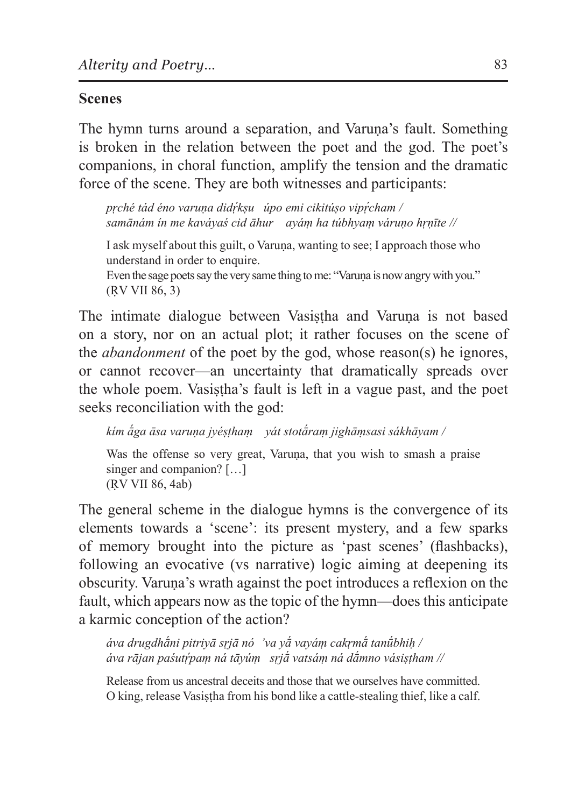# **Scenes**

The hymn turns around a separation, and Varuṇa's fault. Something is broken in the relation between the poet and the god. The poet's companions, in choral function, amplify the tension and the dramatic force of the scene. They are both witnesses and participants:

*pṛché tád éno varuṇa didṛ́ kṣu úpo emi cikitúṣo vipṛ́ cham / samānám ín me kaváyaś cid āhur ayáṃ ha túbhyaṃ váruṇo hṛṇīte //*

I ask myself about this guilt, o Varuṇa, wanting to see; I approach those who understand in order to enquire. Even the sage poets say the very same thing to me: "Varuna is now angry with you." (ṚV VII 86, 3)

The intimate dialogue between Vasistha and Varuna is not based on a story, nor on an actual plot; it rather focuses on the scene of the *abandonment* of the poet by the god, whose reason(s) he ignores, or cannot recover—an uncertainty that dramatically spreads over the whole poem. Vasistha's fault is left in a vague past, and the poet seeks reconciliation with the god:

*kím ā́ga āsa varuṇa jyéṣṭhaṃ yát stotā́raṃ jighāṃsasi sákhāyam /* 

Was the offense so very great, Varuna, that you wish to smash a praise singer and companion? [...] (ṚV VII 86, 4ab)

The general scheme in the dialogue hymns is the convergence of its elements towards a 'scene': its present mystery, and a few sparks of memory brought into the picture as 'past scenes' (flashbacks), following an evocative (vs narrative) logic aiming at deepening its obscurity. Varuṇa's wrath against the poet introduces a reflexion on the fault, which appears now as the topic of the hymn—does this anticipate a karmic conception of the action?

*áva drugdhā́ni pitriyā sṛjā nó 'va yā́ vayáṃ cakṛmā́ tanū́bhiḥ / áva rājan paśutṛ́ paṃ ná tāyúṃ sṛjā́ vatsáṃ ná dā́mno vásiṣṭham //* 

Release from us ancestral deceits and those that we ourselves have committed. O king, release Vasistha from his bond like a cattle-stealing thief, like a calf.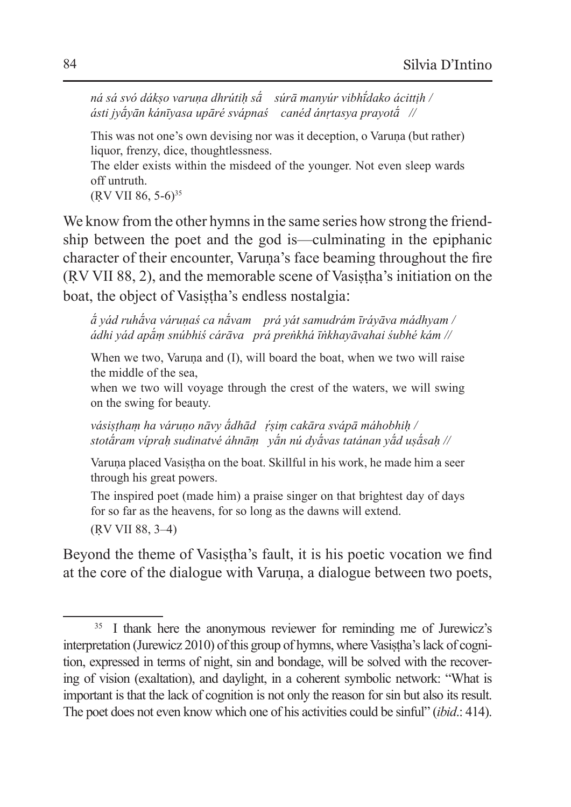*ná sá svó dákṣo varuṇa dhrútiḥ sā́ súrā manyúr vibhī́ dako ácittịh / ásti jyā́yān kánīyasa upāré svápnaś canéd ánṛtasya prayotā́ //* 

This was not one's own devising nor was it deception, o Varuna (but rather) liquor, frenzy, dice, thoughtlessness. The elder exists within the misdeed of the younger. Not even sleep wards off untruth.

(RV VII 86, 5-6)<sup>35</sup>

We know from the other hymns in the same series how strong the friendship between the poet and the god is—culminating in the epiphanic character of their encounter, Varuna's face beaming throughout the fire (ṚV VII 88, 2), and the memorable scene of Vasiṣṭha's initiation on the boat, the object of Vasistha's endless nostalgia:

*ā́ yád ruhā́va váruṇaś ca nā́vam prá yát samudrám īráyāva mádhyam / ádhi yád apā́ṃ snúbhiś cárāva prá preṅkhá īṅkhayāvahai śubhé kám //*

When we two, Varuna and (I), will board the boat, when we two will raise the middle of the sea,

when we two will voyage through the crest of the waters, we will swing on the swing for beauty.

*vásiṣṭhaṃ ha váruṇo nāvy ā́dhād ṛ́ ṣiṃ cakāra svápā máhobhiḥ / stotā́ram vípraḥ sudinatvé áhnāṃ yā́n nú dyā́vas tatánan yā́d uṣā́saḥ //*

Varuna placed Vasistha on the boat. Skillful in his work, he made him a seer through his great powers.

The inspired poet (made him) a praise singer on that brightest day of days for so far as the heavens, for so long as the dawns will extend. (ṚV VII 88, 3–4)

Beyond the theme of Vasistha's fault, it is his poetic vocation we find at the core of the dialogue with Varuna, a dialogue between two poets,

<sup>&</sup>lt;sup>35</sup> I thank here the anonymous reviewer for reminding me of Jurewicz's interpretation (Jurewicz 2010) of this group of hymns, where Vasistha's lack of cognition, expressed in terms of night, sin and bondage, will be solved with the recovering of vision (exaltation), and daylight, in a coherent symbolic network: "What is important is that the lack of cognition is not only the reason for sin but also its result. The poet does not even know which one of his activities could be sinful" (*ibid*.: 414).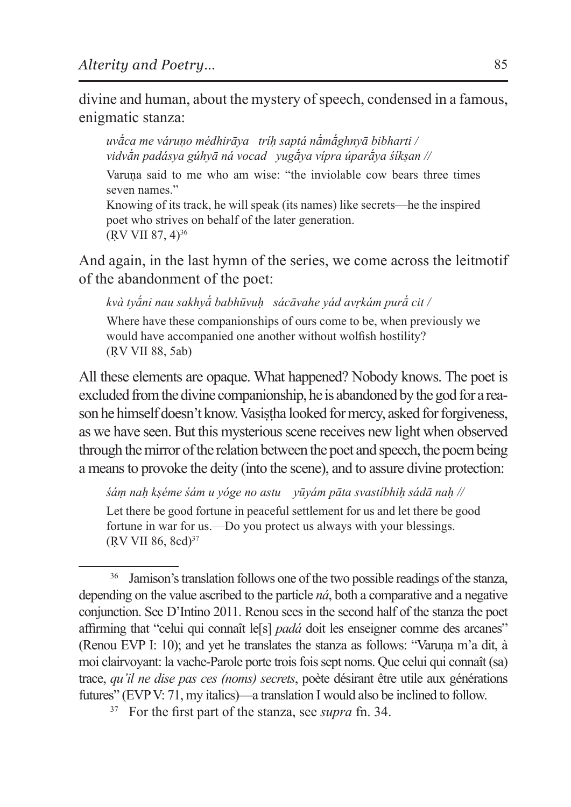divine and human, about the mystery of speech, condensed in a famous, enigmatic stanza:

*uvā́ca me váruṇo médhirāya tríḥ saptá nā́mā́ghnyā bibharti / vidvā́n padásya gúhyā ná vocad yugā́ya vípra úparā́ya śíkṣan //*

Varuna said to me who am wise: "the inviolable cow bears three times seven names."

Knowing of its track, he will speak (its names) like secrets—he the inspired poet who strives on behalf of the later generation.  $(RV VII 87, 4)^{36}$ 

And again, in the last hymn of the series, we come across the leitmotif of the abandonment of the poet:

*kvà tyā́ni nau sakhyā́ babhūvuḥ sácāvahe yád avṛkám purā́ cit /* Where have these companionships of ours come to be, when previously we would have accompanied one another without wolfish hostility? (ṚV VII 88, 5ab)

All these elements are opaque. What happened? Nobody knows. The poet is excluded from the divine companionship, he is abandoned by the god for a reason he himself doesn't know. Vasistha looked for mercy, asked for forgiveness, as we have seen. But this mysterious scene receives new light when observed through themirror of the relation between the poet and speech, the poem being a means to provoke the deity (into the scene), and to assure divine protection:

*śáṃ naḥ kṣéme śám u yóge no astu yūyám pāta svastíbhiḥ sádā naḥ //*

Let there be good fortune in peaceful settlement for us and let there be good fortune in war for us.—Do you protect us always with your blessings.  $(RV VII 86, 8cd)^{37}$ 

<sup>&</sup>lt;sup>36</sup> Jamison's translation follows one of the two possible readings of the stanza, depending on the value ascribed to the particle *ná*, both a comparative and a negative conjunction. See D'Intino 2011. Renou sees in the second half of the stanza the poet affirming that "celui qui connaît le[s] *padá* doit les enseigner comme des arcanes" (Renou EVP I: 10); and yet he translates the stanza as follows: "Varuna m'a dit, à moi clairvoyant: la vache-Parole porte trois fois sept noms. Que celui qui connaît (sa) trace, *qu'il ne dise pas ces (noms) secrets*, poète désirant être utile aux générations futures" (EVP V: 71, my italics)—a translation I would also be inclined to follow.

<sup>37</sup> For the first part of the stanza, see *supra* fn. 34.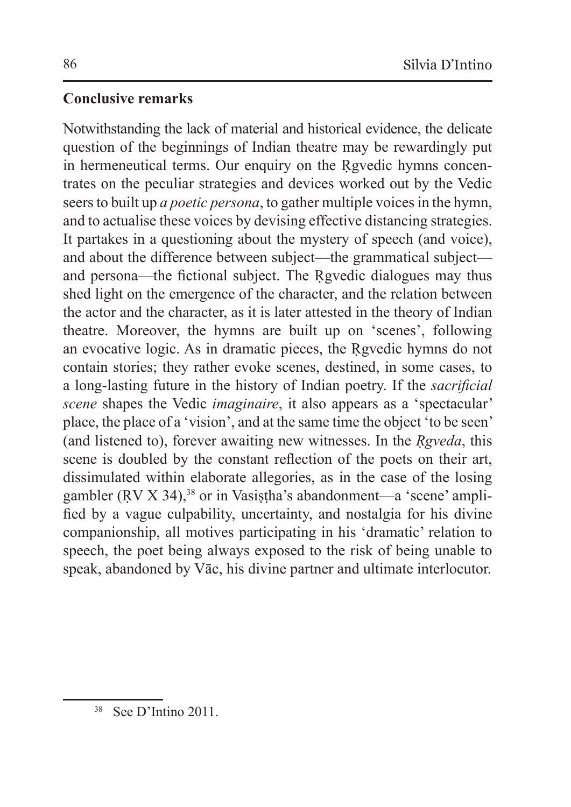# **Conclusive remarks**

Notwithstanding the lack of material and historical evidence, the delicate question of the beginnings of Indian theatre may be rewardingly put in hermeneutical terms. Our enquiry on the Rgvedic hymns concentrates on the peculiar strategies and devices worked out by the Vedic seers to built up *a poetic persona*, to gather multiple voices in the hymn, and to actualise these voices by devising effective distancing strategies. It partakes in a questioning about the mystery of speech (and voice), and about the difference between subject—the grammatical subject and persona—the fictional subject. The Rgvedic dialogues may thus shed light on the emergence of the character, and the relation between the actor and the character, as it is later attested in the theory of Indian theatre. Moreover, the hymns are built up on 'scenes', following an evocative logic. As in dramatic pieces, the Rgyedic hymns do not contain stories; they rather evoke scenes, destined, in some cases, to a long-lasting future in the history of Indian poetry. If the *sacrificial scene* shapes the Vedic *imaginaire*, it also appears as a 'spectacular' place, the place of a 'vision', and at the same time the object 'to be seen' (and listened to), forever awaiting new witnesses. In the *Ṛgveda*, this scene is doubled by the constant reflection of the poets on their art, dissimulated within elaborate allegories, as in the case of the losing gambler (RV X 34),<sup>38</sup> or in Vasistha's abandonment—a 'scene' amplified by a vague culpability, uncertainty, and nostalgia for his divine companionship, all motives participating in his 'dramatic' relation to speech, the poet being always exposed to the risk of being unable to speak, abandoned by Vāc, his divine partner and ultimate interlocutor.

<sup>38</sup> See D'Intino 2011.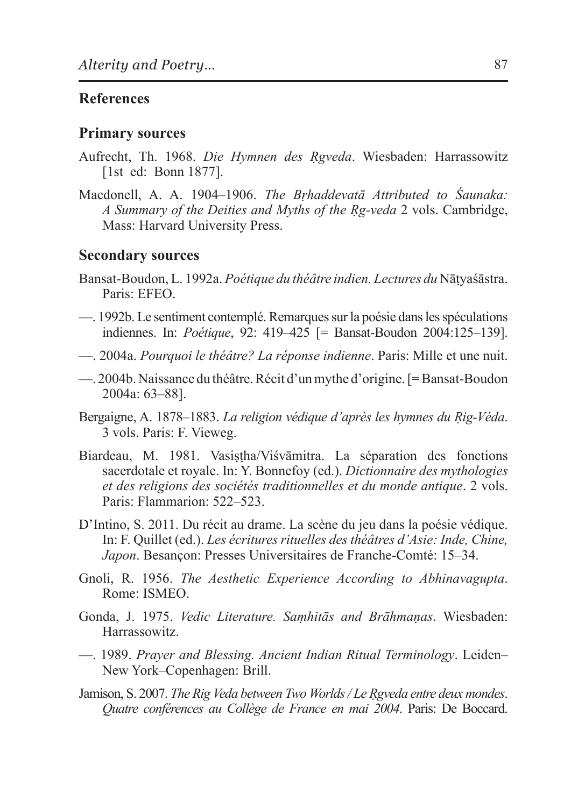### **References**

#### **Primary sources**

- Aufrecht, Th. 1968. *Die Hymnen des Ṛgveda*. Wiesbaden: Harrassowitz [1st ed: Bonn 1877].
- Macdonell, A. A. 1904–1906. *The Bṛhaddevatā Attributed to Śaunaka: A Summary of the Deities and Myths of the Ṛg-veda* 2 vols. Cambridge, Mass: Harvard University Press.

#### **Secondary sources**

- Bansat-Boudon, L. 1992a. *Poétique du théâtre indien. Lectures du* Nāṭyaśāstra. Paris: EFEO.
- —. 1992b. Le sentiment contemplé. Remarques sur la poésie dans les spéculations indiennes. In: *Poétique*, 92: 419–425 [= Bansat-Boudon 2004:125–139].
- —. 2004a. *Pourquoi le théâtre? La réponse indienne*. Paris: Mille et une nuit.
- —. 2004b. Naissance du théâtre. Récit d'un mythe d'origine. [= Bansat-Boudon 2004a: 63–88].
- Bergaigne, A. 1878–1883. *La religion védique d'après les hymnes du Rig-Véda*. 3 vols. Paris: F. Vieweg.
- Biardeau, M. 1981. Vasiṣṭha/Viśvāmitra. La séparation des fonctions sacerdotale et royale. In: Y. Bonnefoy (ed.). *Dictionnaire des mythologies et des religions des sociétés traditionnelles et du monde antique*. 2 vols. Paris: Flammarion: 522–523.
- D'Intino, S. 2011. Du récit au drame. La scène du jeu dans la poésie védique. In: F. Quillet (ed.). *Les écritures rituelles des théâtres d'Asie: Inde, Chine, Japon*. Besançon: Presses Universitaires de Franche-Comté: 15–34.
- Gnoli, R. 1956. *The Aesthetic Experience According to Abhinavagupta*. Rome: ISMEO.
- Gonda, J. 1975. *Vedic Literature. Saṃhitās and Brāhmaṇas*. Wiesbaden: Harrassowitz.
- —. 1989. *Prayer and Blessing. Ancient Indian Ritual Terminology*. Leiden– New York–Copenhagen: Brill.
- Jamison, S. 2007. *The Rig Veda between Two Worlds / Le Ṛgveda entre deux mondes*. *Quatre conférences au Collège de France en mai 2004*. Paris: De Boccard.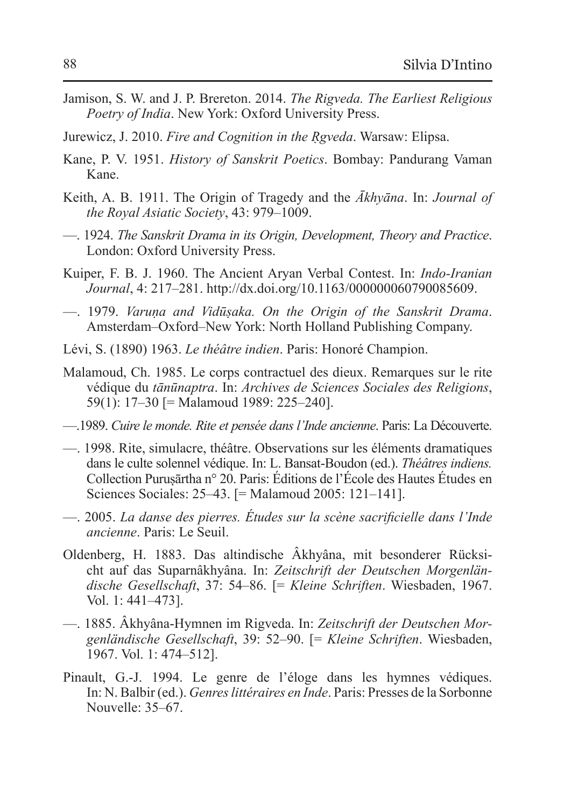- Jamison, S. W. and J. P. Brereton. 2014. *The Rigveda. The Earliest Religious Poetry of India*. New York: Oxford University Press.
- Jurewicz, J. 2010. *Fire and Cognition in the Ṛgveda*. Warsaw: Elipsa.
- Kane, P. V. 1951. *History of Sanskrit Poetics*. Bombay: Pandurang Vaman Kane.
- Keith, A. B. 1911. The Origin of Tragedy and the *Ākhyāna*. In: *Journal of the Royal Asiatic Society*, 43: 979–1009.
- —. 1924. *The Sanskrit Drama in its Origin, Development, Theory and Practice*. London: Oxford University Press.
- Kuiper, F. B. J. 1960. The Ancient Aryan Verbal Contest. In: *Indo-Iranian Journal*, 4: 217–281. http://dx.doi.org/10.1163/000000060790085609.
- —. 1979. *Varuṇa and Vidūṣaka. On the Origin of the Sanskrit Drama*. Amsterdam–Oxford–New York: North Holland Publishing Company.
- Lévi, S. (1890) 1963. *Le théâtre indien*. Paris: Honoré Champion.
- Malamoud, Ch. 1985. Le corps contractuel des dieux. Remarques sur le rite védique du *tānūnaptra*. In: *Archives de Sciences Sociales des Religions*, 59(1): 17–30 [= Malamoud 1989: 225–240].
- —.1989. *Cuire le monde. Rite et pensée dans l'Inde ancienne*. Paris: La Découverte.
- —. 1998. Rite, simulacre, théâtre. Observations sur les éléments dramatiques dans le culte solennel védique. In: L. Bansat-Boudon (ed.). *Théâtres indiens.*  Collection Puruṣārtha n° 20. Paris: Éditions de l'École des Hautes Études en Sciences Sociales: 25–43. [= Malamoud 2005: 121–141].
- —. 2005. *La danse des pierres. Études sur la scène sacrificielle dans l'Inde ancienne*. Paris: Le Seuil.
- Oldenberg, H. 1883. Das altindische Âkhyâna, mit besonderer Rücksicht auf das Suparnâkhyâna. In: *Zeitschrift der Deutschen Morgenländische Gesellschaft*, 37: 54–86. [= *Kleine Schriften*. Wiesbaden, 1967. Vol. 1: 441–473].
- —. 1885. Âkhyâna-Hymnen im Rigveda. In: *Zeitschrift der Deutschen Morgenländische Gesellschaft*, 39: 52–90. [= *Kleine Schriften*. Wiesbaden, 1967. Vol. 1: 474–512].
- Pinault, G.-J. 1994. Le genre de l'éloge dans les hymnes védiques. In: N. Balbir (ed.). *Genres littéraires en Inde*. Paris: Presses de la Sorbonne Nouvelle: 35–67.